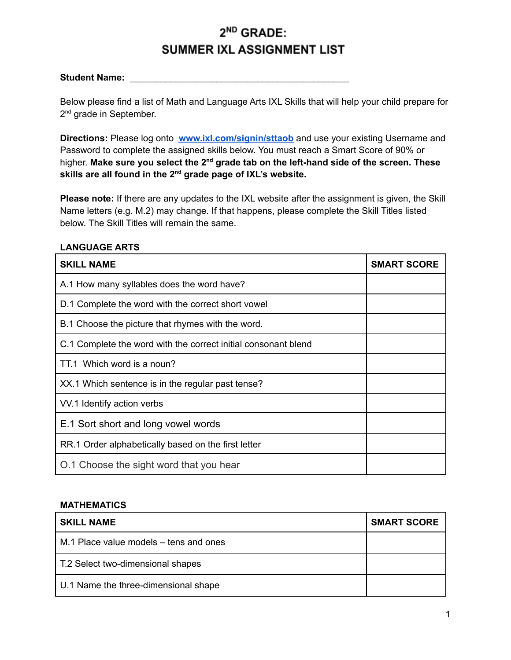## 2<sup>ND</sup> GRADE: SUMMER IXL ASSIGNMENT LIST

## **Student Name:** \_\_\_\_\_\_\_\_\_\_\_\_\_\_\_\_\_\_\_\_\_\_\_\_\_\_\_\_\_\_\_\_\_\_\_\_\_\_\_\_\_\_\_

Below please find a list of Math and Language Arts IXL Skills that will help your child prepare for 2<sup>nd</sup> grade in September.

**Directions:** Please log onto **[www.ixl.com/signin/sttaob](http://www.ixl.com/signin/sttaob)** and use your existing Username and Password to complete the assigned skills below. You must reach a Smart Score of 90% or higher. **Make sure you select the 2 nd grade tab on the left-hand side of the screen. These skills are all found in the 2 nd grade page of IXL's website.**

**Please note:** If there are any updates to the IXL website after the assignment is given, the Skill Name letters (e.g. M.2) may change. If that happens, please complete the Skill Titles listed below. The Skill Titles will remain the same.

## **LANGUAGE ARTS**

| <b>SKILL NAME</b>                                              | <b>SMART SCORE</b> |
|----------------------------------------------------------------|--------------------|
| A.1 How many syllables does the word have?                     |                    |
| D.1 Complete the word with the correct short vowel             |                    |
| B.1 Choose the picture that rhymes with the word.              |                    |
| C.1 Complete the word with the correct initial consonant blend |                    |
| TT.1 Which word is a noun?                                     |                    |
| XX.1 Which sentence is in the regular past tense?              |                    |
| VV.1 Identify action verbs                                     |                    |
| E.1 Sort short and long vowel words                            |                    |
| RR.1 Order alphabetically based on the first letter            |                    |
| O.1 Choose the sight word that you hear                        |                    |

## **MATHEMATICS**

| <b>SKILL NAME</b>                      | <b>SMART SCORE</b> |
|----------------------------------------|--------------------|
| M.1 Place value models – tens and ones |                    |
| T.2 Select two-dimensional shapes      |                    |
| U.1 Name the three-dimensional shape   |                    |